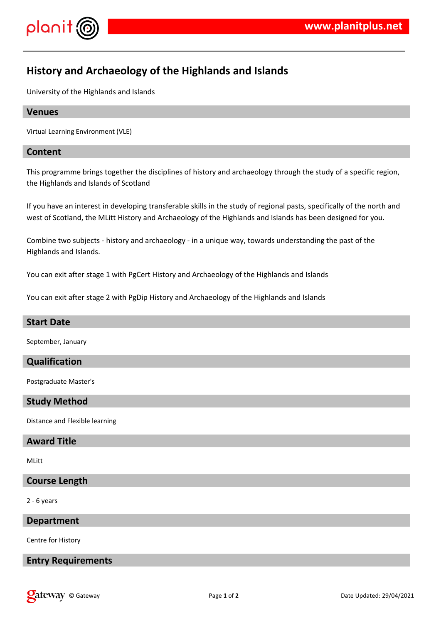

# **History and Archaeology of the Highlands and Islands**

University of the Highlands and Islands

#### **Venues**

Virtual Learning Environment (VLE)

#### **Content**

This programme brings together the disciplines of history and archaeology through the study of a specific region, the Highlands and Islands of Scotland

If you have an interest in developing transferable skills in the study of regional pasts, specifically of the north and west of Scotland, the MLitt History and Archaeology of the Highlands and Islands has been designed for you.

Combine two subjects - history and archaeology - in a unique way, towards understanding the past of the Highlands and Islands.

You can exit after stage 1 with PgCert History and Archaeology of the Highlands and Islands

You can exit after stage 2 with PgDip History and Archaeology of the Highlands and Islands

#### **Start Date**

September, January

#### **Qualification**

Postgraduate Master's

## **Study Method**

Distance and Flexible learning

#### **Award Title**

MLitt

#### **Course Length**

2 - 6 years

#### **Department**

Centre for History

#### **Entry Requirements**